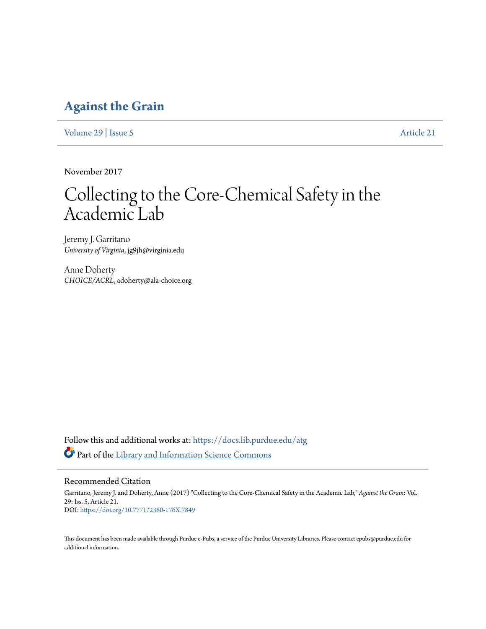# **[Against the Grain](https://docs.lib.purdue.edu/atg?utm_source=docs.lib.purdue.edu%2Fatg%2Fvol29%2Fiss5%2F21&utm_medium=PDF&utm_campaign=PDFCoverPages)**

[Volume 29](https://docs.lib.purdue.edu/atg/vol29?utm_source=docs.lib.purdue.edu%2Fatg%2Fvol29%2Fiss5%2F21&utm_medium=PDF&utm_campaign=PDFCoverPages) | [Issue 5](https://docs.lib.purdue.edu/atg/vol29/iss5?utm_source=docs.lib.purdue.edu%2Fatg%2Fvol29%2Fiss5%2F21&utm_medium=PDF&utm_campaign=PDFCoverPages) [Article 21](https://docs.lib.purdue.edu/atg/vol29/iss5/21?utm_source=docs.lib.purdue.edu%2Fatg%2Fvol29%2Fiss5%2F21&utm_medium=PDF&utm_campaign=PDFCoverPages)

November 2017

# Collecting to the Core-Chemical Safety in the Academic Lab

Jeremy J. Garritano *University of Virginia*, jg9jh@virginia.edu

Anne Doherty *CHOICE/ACRL*, adoherty@ala-choice.org

Follow this and additional works at: [https://docs.lib.purdue.edu/atg](https://docs.lib.purdue.edu/atg?utm_source=docs.lib.purdue.edu%2Fatg%2Fvol29%2Fiss5%2F21&utm_medium=PDF&utm_campaign=PDFCoverPages) Part of the [Library and Information Science Commons](http://network.bepress.com/hgg/discipline/1018?utm_source=docs.lib.purdue.edu%2Fatg%2Fvol29%2Fiss5%2F21&utm_medium=PDF&utm_campaign=PDFCoverPages)

# Recommended Citation

Garritano, Jeremy J. and Doherty, Anne (2017) "Collecting to the Core-Chemical Safety in the Academic Lab," *Against the Grain*: Vol. 29: Iss. 5, Article 21. DOI: <https://doi.org/10.7771/2380-176X.7849>

This document has been made available through Purdue e-Pubs, a service of the Purdue University Libraries. Please contact epubs@purdue.edu for additional information.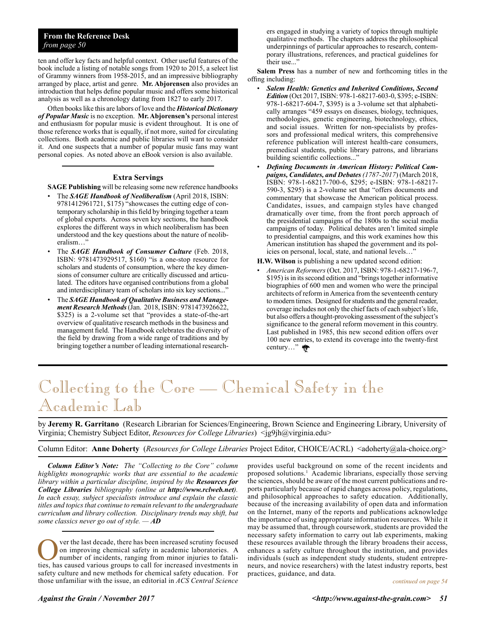# **From the Reference Desk** *from page 50*

ten and offer key facts and helpful context. Other useful features of the book include a listing of notable songs from 1920 to 2015, a select list of Grammy winners from 1958-2015, and an impressive bibliography arranged by place, artist and genre. **Mr. Abjorensen** also provides an introduction that helps define popular music and offers some historical analysis as well as a chronology dating from 1827 to early 2017.

Often books like this are labors of love and the *Historical Dictionary of Popular Music* is no exception. **Mr. Abjorensen's** personal interest and enthusiasm for popular music is evident throughout. It is one of those reference works that is equally, if not more, suited for circulating collections. Both academic and public libraries will want to consider it. And one suspects that a number of popular music fans may want personal copies. As noted above an eBook version is also available.

# **Extra Servings**

**SAGE Publishing** will be releasing some new reference handbooks

- The *SAGE Handbook of Neoliberalism* (April 2018, ISBN: 9781412961721, \$175) "showcases the cutting edge of contemporary scholarship in this field by bringing together a team of global experts. Across seven key sections, the handbook explores the different ways in which neoliberalism has been understood and the key questions about the nature of neoliberalism…"
- The *SAGE Handbook of Consumer Culture* (Feb. 2018, ISBN: 9781473929517, \$160) "is a one-stop resource for scholars and students of consumption, where the key dimensions of consumer culture are critically discussed and articulated. The editors have organised contributions from a global and interdisciplinary team of scholars into six key sections..."
- The *SAGE Handbook of Qualitative Business and Management Research Methods*(Jan. 2018, ISBN: 9781473926622, \$325) is a 2-volume set that "provides a state-of-the-art overview of qualitative research methods in the business and management field. The Handbook celebrates the diversity of the field by drawing from a wide range of traditions and by bringing together a number of leading international research-

ers engaged in studying a variety of topics through multiple qualitative methods. The chapters address the philosophical underpinnings of particular approaches to research, contemporary illustrations, references, and practical guidelines for their use..."

**Salem Press** has a number of new and forthcoming titles in the offing including:

- *Salem Health: Genetics and Inherited Conditions, Second Edition* (Oct 2017, ISBN: 978-1-68217-603-0, \$395; e-ISBN: 978-1-68217-604-7, \$395) is a 3-volume set that alphabetically arranges "459 essays on diseases, biology, techniques, methodologies, genetic engineering, biotechnology, ethics, and social issues. Written for non-specialists by professors and professional medical writers, this comprehensive reference publication will interest health-care consumers, premedical students, public library patrons, and librarians building scientific collections..."
- *Defining Documents in American History: Political Campaigns, Candidates, and Debates (1787-2017*) (March 2018, ISBN: 978-1-68217-700-6, \$295; e-ISBN: 978-1-68217- 590-3, \$295) is a 2-volume set that "offers documents and commentary that showcase the American political process. Candidates, issues, and campaign styles have changed dramatically over time, from the front porch approach of the presidential campaigns of the 1800s to the social media campaigns of today. Political debates aren't limited simple to presidential campaigns, and this work examines how this American institution has shaped the government and its policies on personal, local, state, and national levels…"
- **H.W. Wilson** is publishing a new updated second edition:
- *American Reformers* (Oct. 2017, ISBN: 978-1-68217-196-7, \$195) is in its second edition and "brings together informative biographies of 600 men and women who were the principal architects of reform in America from the seventeenth century to modern times. Designed for students and the general reader, coverage includes not only the chief facts of each subject's life, but also offers a thought-provoking assessment of the subject's significance to the general reform movement in this country. Last published in 1985, this new second edition offers over 100 new entries, to extend its coverage into the twenty-first century…"

# Collecting to the Core — Chemical Safety in the Academic Lab

by **Jeremy R. Garritano** (Research Librarian for Sciences/Engineering, Brown Science and Engineering Library, University of Virginia; Chemistry Subject Editor, *Resources for College Libraries*) <jg9jh@virginia.edu>

Column Editor: **Anne Doherty** (*Resources for College Libraries* Project Editor, CHOICE/ACRL) <adoherty@ala-choice.org>

*Column Editor's Note: The "Collecting to the Core" column highlights monographic works that are essential to the academic library within a particular discipline, inspired by the Resources for College Libraries bibliography (online at http://www.rclweb.net). In each essay, subject specialists introduce and explain the classic titles and topics that continue to remain relevant to the undergraduate curriculum and library collection. Disciplinary trends may shift, but some classics never go out of style. — AD*

Over the last decade, there has been increased scrutiny focused<br>on improving chemical safety in academic laboratories. A<br>number of incidents, ranging from minor injuries to fatali-<br>ties has caused various groups to call fo on improving chemical safety in academic laboratories. A number of incidents, ranging from minor injuries to fatalities, has caused various groups to call for increased investments in safety culture and new methods for chemical safety education. For those unfamiliar with the issue, an editorial in *ACS Central Science*

provides useful background on some of the recent incidents and proposed solutions.<sup>1</sup> Academic librarians, especially those serving the sciences, should be aware of the most current publications and reports particularly because of rapid changes across policy, regulations, and philosophical approaches to safety education. Additionally, because of the increasing availability of open data and information on the Internet, many of the reports and publications acknowledge the importance of using appropriate information resources. While it may be assumed that, through coursework, students are provided the necessary safety information to carry out lab experiments, making these resources available through the library broadens their access, enhances a safety culture throughout the institution, and provides individuals (such as independent study students, student entrepreneurs, and novice researchers) with the latest industry reports, best practices, guidance, and data.

*continued on page 54*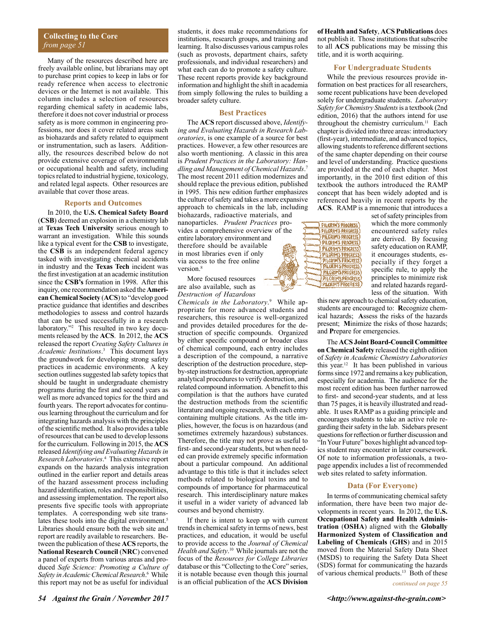### **Collecting to the Core** *from page 51*

Many of the resources described here are freely available online, but librarians may opt to purchase print copies to keep in labs or for ready reference when access to electronic devices or the Internet is not available. This column includes a selection of resources regarding chemical safety in academic labs, therefore it does not cover industrial or process safety as is more common in engineering professions, nor does it cover related areas such as biohazards and safety related to equipment or instrumentation, such as lasers. Additionally, the resources described below do not provide extensive coverage of environmental or occupational health and safety, including topics related to industrial hygiene, toxicology, and related legal aspects. Other resources are available that cover those areas.

#### **Reports and Outcomes**

In 2010, the **U.S. Chemical Safety Board** (**CSB**) deemed an explosion in a chemistry lab at **Texas Tech University** serious enough to warrant an investigation. While this sounds like a typical event for the **CSB** to investigate, the **CSB** is an independent federal agency tasked with investigating chemical accidents in industry and the **Texas Tech** incident was the first investigation at an academic institution since the **CSB's** formation in 1998. After this inquiry, one recommendation asked the **American Chemical Society** (**ACS**) to "develop good practice guidance that identifies and describes methodologies to assess and control hazards that can be used successfully in a research laboratory."2 This resulted in two key documents released by the **ACS**. In 2012, the **ACS** released the report *Creating Safety Cultures in Academic Institutions*. 3 This document lays the groundwork for developing strong safety practices in academic environments. A key section outlines suggested lab safety topics that should be taught in undergraduate chemistry programs during the first and second years as well as more advanced topics for the third and fourth years. The report advocates for continuous learning throughout the curriculum and for integrating hazards analysis with the principles of the scientific method. It also provides a table of resources that can be used to develop lessons for the curriculum. Following in 2015, the **ACS** released *Identifying and Evaluating Hazards in Research Laboratories*. 4 This extensive report expands on the hazards analysis integration outlined in the earlier report and details areas of the hazard assessment process including hazard identification, roles and responsibilities, and assessing implementation. The report also presents five specific tools with appropriate templates. A corresponding web site translates these tools into the digital environment.<sup>5</sup> Libraries should ensure both the web site and report are readily available to researchers. Between the publication of these **ACS** reports, the **National Research Council** (**NRC**) convened a panel of experts from various areas and produced *Safe Science: Promoting a Culture of Safety in Academic Chemical Research*. 6 While this report may not be as useful for individual

students, it does make recommendations for institutions, research groups, and training and learning. It also discusses various campus roles (such as provosts, department chairs, safety professionals, and individual researchers) and what each can do to promote a safety culture. These recent reports provide key background information and highlight the shift in academia from simply following the rules to building a broader safety culture.

### **Best Practices**

The **ACS** report discussed above, *Identifying and Evaluating Hazards in Research Laboratories*, is one example of a source for best practices. However, a few other resources are also worth mentioning. A classic in this area is *Prudent Practices in the Laboratory: Handling and Management of Chemical Hazards*. 7 The most recent 2011 edition modernizes and should replace the previous edition, published in 1995. This new edition further emphasizes the culture of safety and takes a more expansive approach to chemicals in the lab, including biohazards, radioactive materials, and nanoparticles. *Prudent Practices* provides a comprehensive overview of the entire laboratory environment and therefore should be available in most libraries even if only via access to the free online version<sup>8</sup>

More focused resources are also available, such as *Destruction of Hazardous* 

*Chemicals in the Laboratory*. 9 While appropriate for more advanced students and researchers, this resource is well-organized and provides detailed procedures for the destruction of specific compounds. Organized by either specific compound or broader class of chemical compound, each entry includes a description of the compound, a narrative description of the destruction procedure, stepby-step instructions for destruction, appropriate analytical procedures to verify destruction, and related compound information. A benefit to this compilation is that the authors have curated the destruction methods from the scientific literature and ongoing research, with each entry containing multiple citations. As the title implies, however, the focus is on hazardous (and sometimes extremely hazardous) substances. Therefore, the title may not prove as useful to first- and second-year students, but when needed can provide extremely specific information about a particular compound. An additional advantage to this title is that it includes select methods related to biological toxins and to compounds of importance for pharmaceutical research. This interdisciplinary nature makes it useful in a wider variety of advanced lab courses and beyond chemistry.

If there is intent to keep up with current trends in chemical safety in terms of news, best practices, and education, it would be useful to provide access to the *Journal of Chemical Health and Safety*. 10 While journals are not the focus of the *Resources for College Libraries* database or this "Collecting to the Core" series, it is notable because even though this journal is an official publication of the **ACS Division** 

**of Health and Safety**, **ACS Publications** does not publish it. Those institutions that subscribe to all **ACS** publications may be missing this title, and it is worth acquiring.

### **For Undergraduate Students**

While the previous resources provide information on best practices for all researchers, some recent publications have been developed solely for undergraduate students. *Laboratory Safety for Chemistry Students* is a textbook (2nd edition, 2016) that the authors intend for use throughout the chemistry curriculum.<sup>11</sup> Each chapter is divided into three areas: introductory (first-year), intermediate, and advanced topics, allowing students to reference different sections of the same chapter depending on their course and level of understanding. Practice questions are provided at the end of each chapter. Most importantly, in the 2010 first edition of this textbook the authors introduced the RAMP concept that has been widely adopted and is referenced heavily in recent reports by the **ACS**. RAMP is a mnemonic that introduces a



set of safety principles from which the more commonly encountered safety rules are derived. By focusing safety education on RAMP, it encourages students, especially if they forget a specific rule, to apply the principles to minimize risk and related hazards regardless of the situation. With

this new approach to chemical safety education, students are encouraged to: **R**ecognize chemical hazards; **A**ssess the risks of the hazards present; **M**inimize the risks of those hazards; and **P**repare for emergencies.

The **ACS Joint Board-Council Committee on Chemical Safety** released the eighth edition of *Safety in Academic Chemistry Laboratories* this year.12 It has been published in various forms since 1972 and remains a key publication, especially for academia. The audience for the most recent edition has been further narrowed to first- and second-year students, and at less than 75 pages, it is heavily illustrated and readable. It uses RAMP as a guiding principle and encourages students to take an active role regarding their safety in the lab. Sidebars present questions for reflection or further discussion and "In Your Future" boxes highlight advanced topics student may encounter in later coursework. Of note to information professionals, a twopage appendix includes a list of recommended web sites related to safety information.

#### **Data (For Everyone)**

In terms of communicating chemical safety information, there have been two major developments in recent years. In 2012, the **U.S. Occupational Safety and Health Administration** (**OSHA**) aligned with the **Globally Harmonized System of Classification and Labeling of Chemicals** (**GHS**) and in 2015 moved from the Material Safety Data Sheet (MSDS) to requiring the Safety Data Sheet (SDS) format for communicating the hazards of various chemical products.13 Both of these

*continued on page 55*